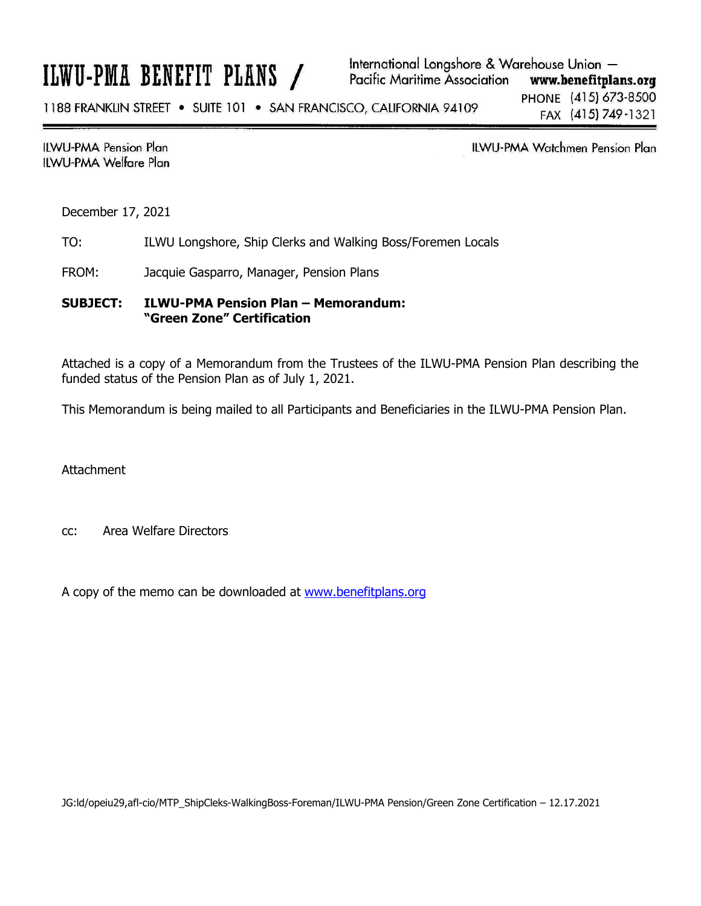# ILWU-PMA BENEFIT PLANS /

1188 FRANKLIN STREET . SUITE 101 . SAN FRANCISCO, CALIFORNIA 94109

**ILWU-PMA Pension Plan** ILWU-PMA Welfare Plan

**ILWU-PMA Watchmen Pension Plan** 

December 17, 2021

TO: ILWU Longshore, Ship Clerks and Walking Boss/Foremen Locals

FROM: Jacquie Gasparro, Manager, Pension Plans

**SUBJECT: ILWU-PMA Pension Plan – Memorandum: "Green Zone" Certification** 

Attached is a copy of a Memorandum from the Trustees of the ILWU-PMA Pension Plan describing the funded status of the Pension Plan as of July 1, 2021.

This Memorandum is being mailed to all Participants and Beneficiaries in the ILWU-PMA Pension Plan.

**Attachment** 

cc: Area Welfare Directors

A copy of the memo can be downloaded at www.benefitplans.org

JG:ld/opeiu29,afl-cio/MTP\_ShipCleks-WalkingBoss-Foreman/ILWU-PMA Pension/Green Zone Certification – 12.17.2021